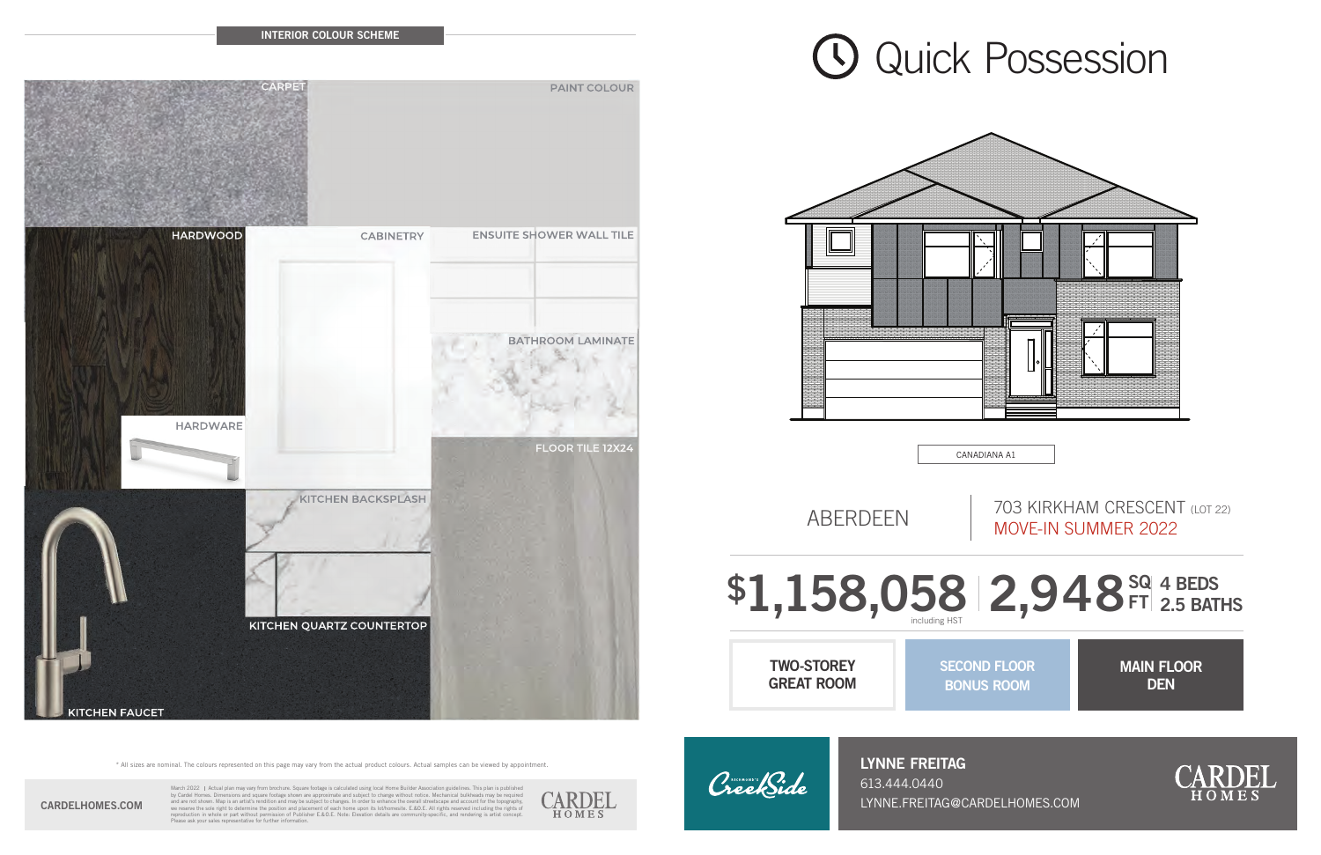

CreekSide

613.444.0440 **CARDELHOMES.COM** LYNNE.FREITAG@CARDELHOMES.COM

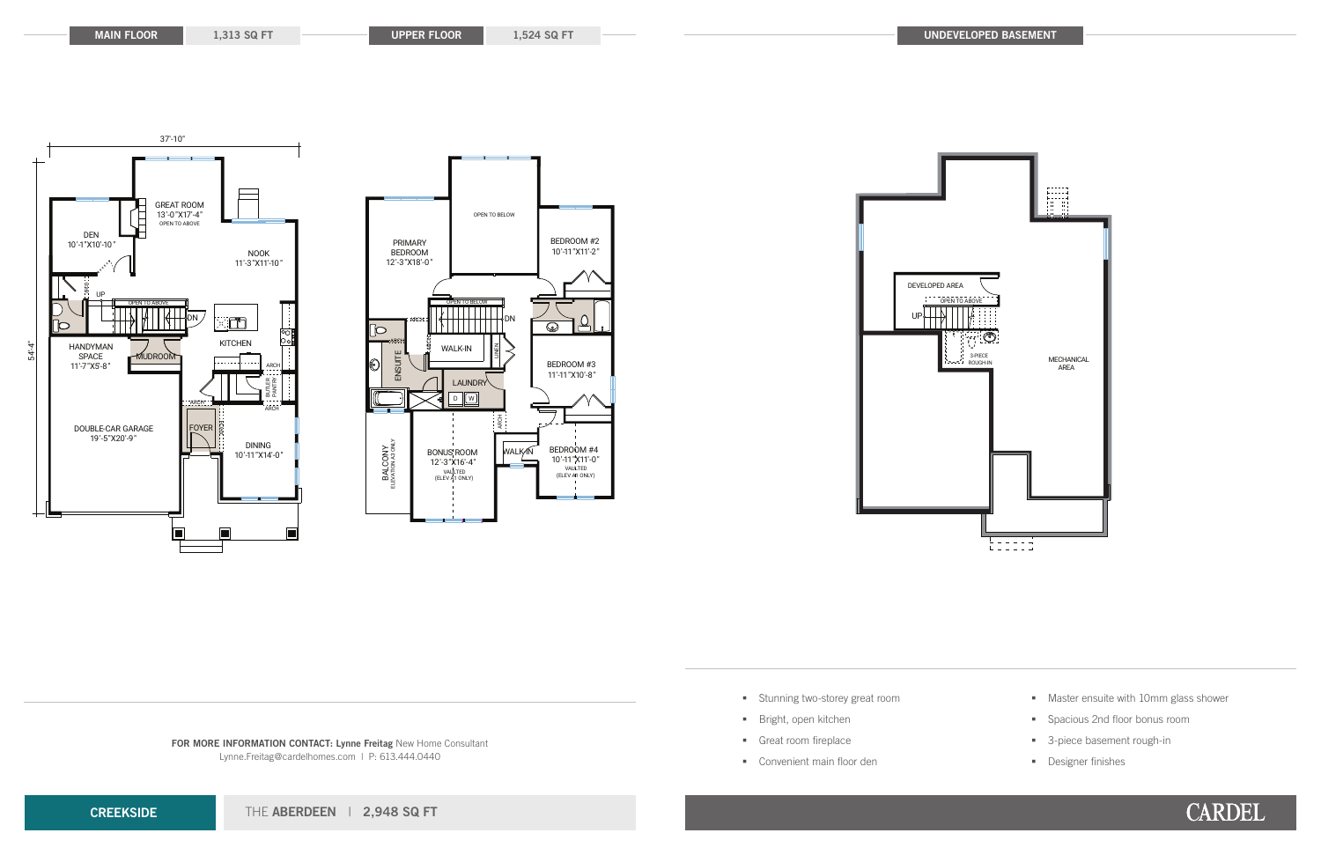



**FOR MORE INFORMATION CONTACT: Lynne Freitag** New Home Consultant Lynne.Freitag@cardelhomes.com | P: 613.444.0440

**CREEKSIDE** THE **ABERDEEN** | **2,948 SQ FT**

**MAIN FLOOR 1,313 SQ FT UPPER FLOOR 1,524 SQ FT**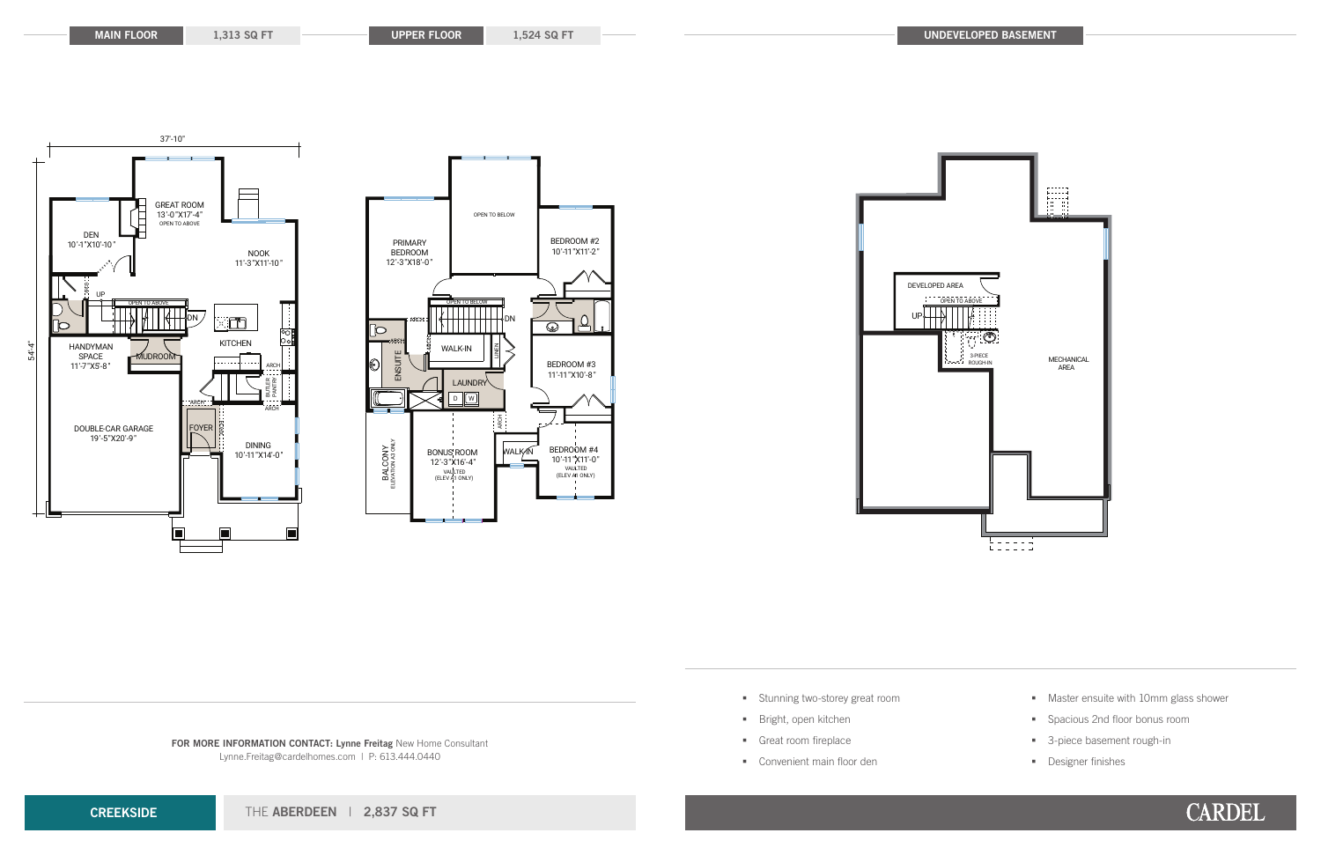

- Stunning two-storey great room
- § Bright, open kitchen
- § Great room fireplace
- Convenient main floor den
- Master ensuite with 10mm glass shower
- § Spacious 2nd floor bonus room
- § 3-piece basement rough-in
- § Designer finishes